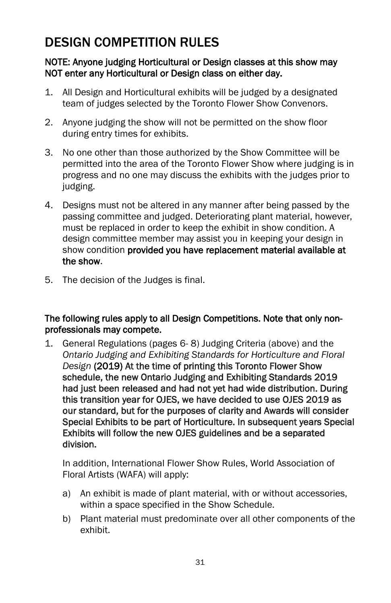# DESIGN COMPETITION RULES

#### NOTE: Anyone judging Horticultural or Design classes at this show may NOT enter any Horticultural or Design class on either day.

- 1. All Design and Horticultural exhibits will be judged by a designated team of judges selected by the Toronto Flower Show Convenors.
- 2. Anyone judging the show will not be permitted on the show floor during entry times for exhibits.
- 3. No one other than those authorized by the Show Committee will be permitted into the area of the Toronto Flower Show where judging is in progress and no one may discuss the exhibits with the judges prior to judging.
- 4. Designs must not be altered in any manner after being passed by the passing committee and judged. Deteriorating plant material, however, must be replaced in order to keep the exhibit in show condition. A design committee member may assist you in keeping your design in show condition provided you have replacement material available at the show.
- 5. The decision of the Judges is final.

#### The following rules apply to all Design Competitions. Note that only nonprofessionals may compete.

1. General Regulations (pages 6- 8) Judging Criteria (above) and the *Ontario Judging and Exhibiting Standards for Horticulture and Floral Design* (2019) At the time of printing this Toronto Flower Show schedule, the new Ontario Judging and Exhibiting Standards 2019 had just been released and had not yet had wide distribution. During this transition year for OJES, we have decided to use OJES 2019 as our standard, but for the purposes of clarity and Awards will consider Special Exhibits to be part of Horticulture. In subsequent years Special Exhibits will follow the new OJES guidelines and be a separated division.

In addition, International Flower Show Rules, World Association of Floral Artists (WAFA) will apply:

- a) An exhibit is made of plant material, with or without accessories, within a space specified in the Show Schedule.
- b) Plant material must predominate over all other components of the exhibit.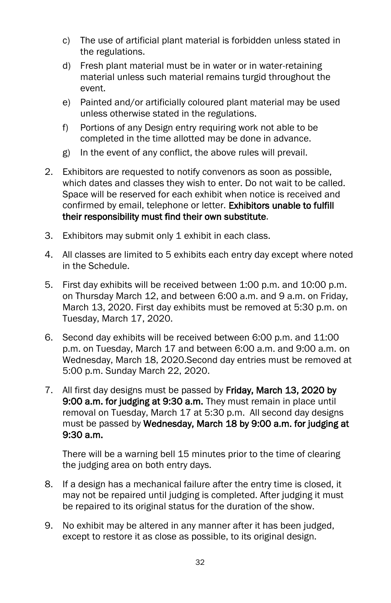- c) The use of artificial plant material is forbidden unless stated in the regulations.
- d) Fresh plant material must be in water or in water-retaining material unless such material remains turgid throughout the event.
- e) Painted and/or artificially coloured plant material may be used unless otherwise stated in the regulations.
- f) Portions of any Design entry requiring work not able to be completed in the time allotted may be done in advance.
- g) In the event of any conflict, the above rules will prevail.
- 2. Exhibitors are requested to notify convenors as soon as possible, which dates and classes they wish to enter. Do not wait to be called. Space will be reserved for each exhibit when notice is received and confirmed by email, telephone or letter. Exhibitors unable to fulfill their responsibility must find their own substitute.
- 3. Exhibitors may submit only 1 exhibit in each class.
- 4. All classes are limited to 5 exhibits each entry day except where noted in the Schedule.
- 5. First day exhibits will be received between 1:00 p.m. and 10:00 p.m. on Thursday March 12, and between 6:00 a.m. and 9 a.m. on Friday, March 13, 2020. First day exhibits must be removed at 5:30 p.m. on Tuesday, March 17, 2020.
- 6. Second day exhibits will be received between 6:00 p.m. and 11:00 p.m. on Tuesday, March 17 and between 6:00 a.m. and 9:00 a.m. on Wednesday, March 18, 2020.Second day entries must be removed at 5:00 p.m. Sunday March 22, 2020.
- 7. All first day designs must be passed by Friday, March 13, 2020 by 9:00 a.m. for judging at 9:30 a.m. They must remain in place until removal on Tuesday, March 17 at 5:30 p.m. All second day designs must be passed by Wednesday, March 18 by 9:00 a.m. for judging at 9:30 a.m.

There will be a warning bell 15 minutes prior to the time of clearing the judging area on both entry days.

- 8. If a design has a mechanical failure after the entry time is closed, it may not be repaired until judging is completed. After judging it must be repaired to its original status for the duration of the show.
- 9. No exhibit may be altered in any manner after it has been judged, except to restore it as close as possible, to its original design.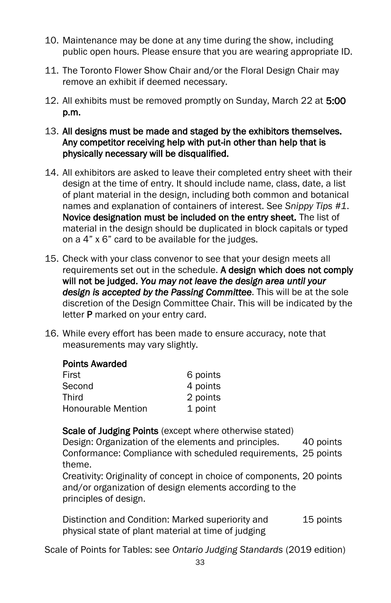- 10. Maintenance may be done at any time during the show, including public open hours. Please ensure that you are wearing appropriate ID.
- 11. The Toronto Flower Show Chair and/or the Floral Design Chair may remove an exhibit if deemed necessary.
- 12. All exhibits must be removed promptly on Sunday, March 22 at 5:00 p.m.
- 13. All designs must be made and staged by the exhibitors themselves. Any competitor receiving help with put-in other than help that is physically necessary will be disqualified.
- 14. All exhibitors are asked to leave their completed entry sheet with their design at the time of entry. It should include name, class, date, a list of plant material in the design, including both common and botanical names and explanation of containers of interest. See *Snippy Tips #1*. Novice designation must be included on the entry sheet. The list of material in the design should be duplicated in block capitals or typed on a 4" x 6" card to be available for the judges.
- 15. Check with your class convenor to see that your design meets all requirements set out in the schedule. A design which does not comply will not be judged. *You may not leave the design area until your design is accepted by the Passing Committee*. This will be at the sole discretion of the Design Committee Chair. This will be indicated by the letter P marked on your entry card.
- 16. While every effort has been made to ensure accuracy, note that measurements may vary slightly.

#### Points Awarded

| First                     | 6 points |
|---------------------------|----------|
| Second                    | 4 points |
| Third                     | 2 points |
| <b>Honourable Mention</b> | 1 point  |

Scale of Judging Points (except where otherwise stated)

Design: Organization of the elements and principles. 40 points Conformance: Compliance with scheduled requirements, 25 points theme.

Creativity: Originality of concept in choice of components, 20 points and/or organization of design elements according to the principles of design.

Distinction and Condition: Marked superiority and physical state of plant material at time of judging 15 points

Scale of Points for Tables: see *Ontario Judging Standards* (2019 edition)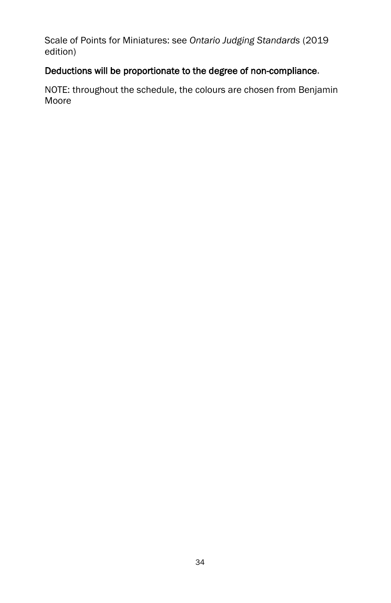Scale of Points for Miniatures: see *Ontario Judging Standards* (2019 edition)

# Deductions will be proportionate to the degree of non-compliance.

NOTE: throughout the schedule, the colours are chosen from Benjamin Moore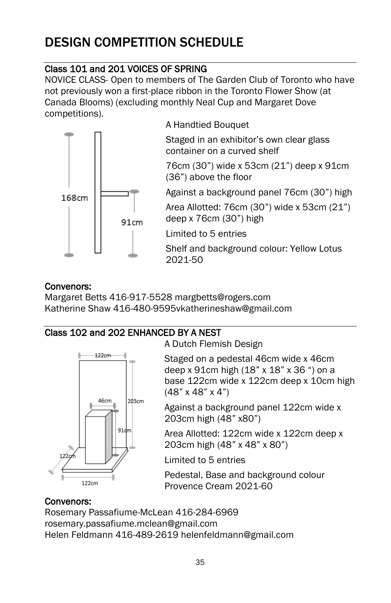# DESIGN COMPETITION SCHEDULE

# Class 101 and 201 VOICES OF SPRING

NOVICE CLASS- Open to members of The Garden Club of Toronto who have not previously won a first-place ribbon in the Toronto Flower Show (at Canada Blooms) (excluding monthly Neal Cup and Margaret Dove competitions).



# Convenors:

Margaret Betts 416-917-5528 margbetts@rogers.com Katherine Shaw 416-480-9595vkatherineshaw@gmail.com

# Class 102 and 202 ENHANCED BY A NEST



A Dutch Flemish Design

Staged on a pedestal 46cm wide x 46cm deep x 91cm high (18" x 18" x 36 ") on a base 122cm wide x 122cm deep x 10cm high (48" x 48" x 4")

Against a background panel 122cm wide x 203cm high (48" x80")

Area Allotted: 122cm wide x 122cm deep x 203cm high (48" x 48" x 80")

Limited to 5 entries

Pedestal, Base and background colour Provence Cream 2021-60

# Convenors:

Rosemary Passafiume-McLean 416-284-6969 rosemary.passafiume.mclean@gmail.com Helen Feldmann 416-489-2619 helenfeldmann@gmail.com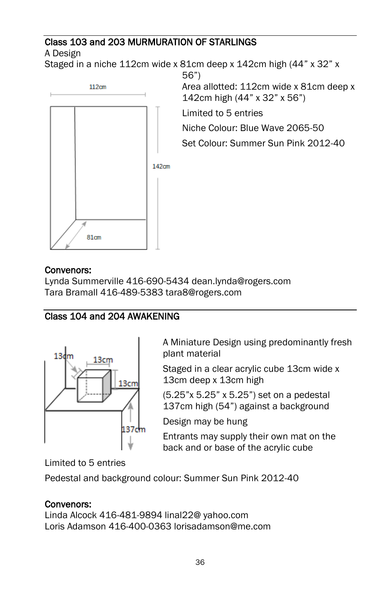# Class 103 and 203 MURMURATION OF STARLINGS

A Design

Staged in a niche 112cm wide x 81cm deep x 142cm high (44" x 32" x



56") Area allotted: 112cm wide x 81cm deep x 142cm high (44" x 32" x 56")

Limited to 5 entries

Niche Colour: Blue Wave 2065-50

Set Colour: Summer Sun Pink 2012-40

# Convenors:

Lynda Summerville 416-690-5434 dean.lynda@rogers.com Tara Bramall 416-489-5383 tara8@rogers.com

# Class 104 and 204 AWAKENING



A Miniature Design using predominantly fresh plant material

Staged in a clear acrylic cube 13cm wide x 13cm deep x 13cm high

(5.25"x 5.25" x 5.25") set on a pedestal 137cm high (54") against a background

Design may be hung

Entrants may supply their own mat on the back and or base of the acrylic cube

Limited to 5 entries

Pedestal and background colour: Summer Sun Pink 2012-40

# Convenors:

Linda Alcock 416-481-9894 linal22@ yahoo.com Loris Adamson 416-400-0363 lorisadamson@me.com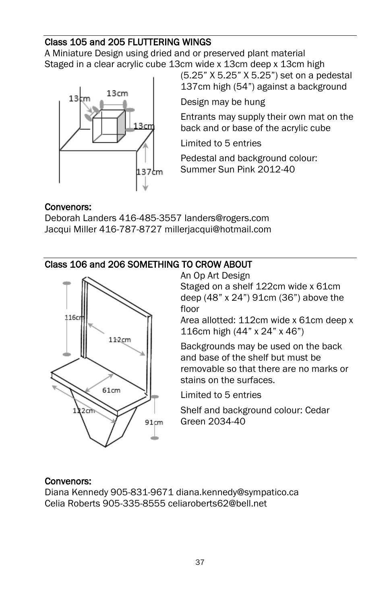# Class 105 and 205 FLUTTERING WINGS

A Miniature Design using dried and or preserved plant material Staged in a clear acrylic cube 13cm wide x 13cm deep x 13cm high



(5.25" X 5.25" X 5.25") set on a pedestal 137cm high (54") against a background

Design may be hung

Entrants may supply their own mat on the back and or base of the acrylic cube

Limited to 5 entries

Pedestal and background colour: Summer Sun Pink 2012-40

#### Convenors:

Deborah Landers 416-485-3557 landers@rogers.com Jacqui Miller 416-787-8727 millerjacqui@hotmail.com

# Class 106 and 206 SOMETHING TO CROW ABOUT



An Op Art Design Staged on a shelf 122cm wide x 61cm deep (48" x 24") 91cm (36") above the floor

Area allotted: 112cm wide x 61cm deep x 116cm high (44" x 24" x 46")

Backgrounds may be used on the back and base of the shelf but must be removable so that there are no marks or stains on the surfaces.

Limited to 5 entries

Shelf and background colour: Cedar Green 2034-40

#### Convenors:

Diana Kennedy 905-831-9671 diana.kennedy@sympatico.ca Celia Roberts 905-335-8555 celiaroberts62@bell.net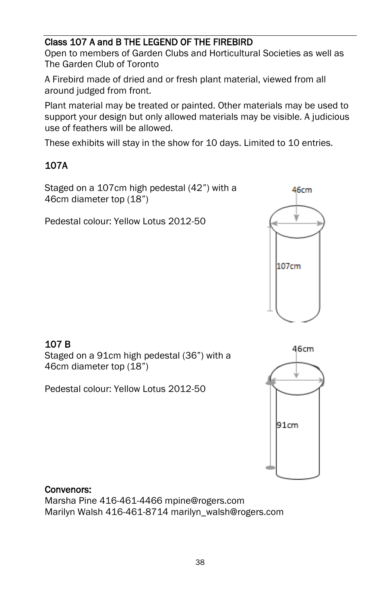### Class 107 A and B THE LEGEND OF THE FIREBIRD

Open to members of Garden Clubs and Horticultural Societies as well as The Garden Club of Toronto

A Firebird made of dried and or fresh plant material, viewed from all around judged from front.

Plant material may be treated or painted. Other materials may be used to support your design but only allowed materials may be visible. A judicious use of feathers will be allowed.

These exhibits will stay in the show for 10 days. Limited to 10 entries.

# 107A

Staged on a 107cm high pedestal (42") with a 46cm diameter top (18")

Pedestal colour: Yellow Lotus 2012-50



# 107 B

Staged on a 91cm high pedestal (36") with a 46cm diameter top (18")

Pedestal colour: Yellow Lotus 2012-50



### Convenors:

Marsha Pine 416-461-4466 mpine@rogers.com Marilyn Walsh 416-461-8714 marilyn\_walsh@rogers.com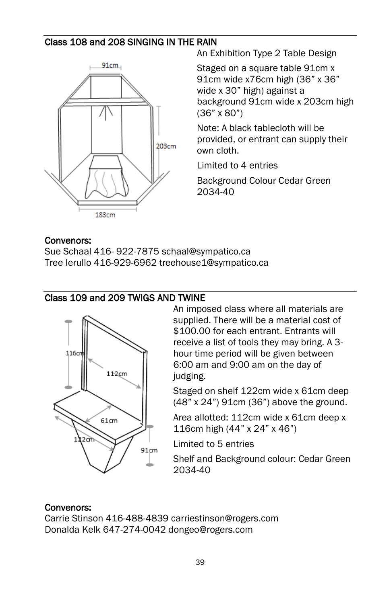### Class 108 and 208 SINGING IN THE RAIN



An Exhibition Type 2 Table Design

Staged on a square table 91cm x 91cm wide x76cm high (36" x 36" wide x 30" high) against a background 91cm wide x 203cm high (36" x 80")

Note: A black tablecloth will be provided, or entrant can supply their own cloth.

Limited to 4 entries

Background Colour Cedar Green 2034-40

#### Convenors:

Sue Schaal 416- 922-7875 schaal@sympatico.ca Tree Ierullo 416-929-6962 treehouse1@sympatico.ca

#### Class 109 and 209 TWIGS AND TWINE



An imposed class where all materials are supplied. There will be a material cost of \$100.00 for each entrant. Entrants will receive a list of tools they may bring. A 3 hour time period will be given between 6:00 am and 9:00 am on the day of judging.

Staged on shelf 122cm wide x 61cm deep (48" x 24") 91cm (36") above the ground.

Area allotted: 112cm wide x 61cm deep x 116cm high (44" x 24" x 46")

Limited to 5 entries

Shelf and Background colour: Cedar Green 2034-40

#### Convenors:

Carrie Stinson 416-488-4839 carriestinson@rogers.com Donalda Kelk 647-274-0042 dongeo@rogers.com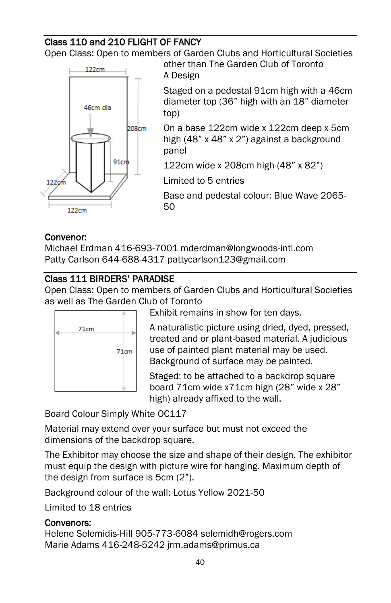# Class 110 and 210 FLIGHT OF FANCY

Open Class: Open to members of Garden Clubs and Horticultural Societies other than The Garden Club of Toronto



A Design Staged on a pedestal 91cm high with a 46cm diameter top (36" high with an 18" diameter top)

On a base 122cm wide x 122cm deep x 5cm high (48" x 48" x 2") against a background panel

122cm wide x 208cm high (48" x 82")

Limited to 5 entries

Base and pedestal colour: Blue Wave 2065- 50

#### Convenor:

Michael Erdman 416-693-7001 mderdman@longwoods-intl.com Patty Carlson 644-688-4317 pattycarlson123@gmail.com

# Class 111 BIRDERS' PARADISE

Open Class: Open to members of Garden Clubs and Horticultural Societies as well as The Garden Club of Toronto



Exhibit remains in show for ten days.

A naturalistic picture using dried, dyed, pressed, treated and or plant-based material. A judicious use of painted plant material may be used. Background of surface may be painted.

Staged: to be attached to a backdrop square board 71cm wide x71cm high (28" wide x 28" high) already affixed to the wall.

Board Colour Simply White OC117

Material may extend over your surface but must not exceed the dimensions of the backdrop square.

The Exhibitor may choose the size and shape of their design. The exhibitor must equip the design with picture wire for hanging. Maximum depth of the design from surface is 5cm (2").

Background colour of the wall: Lotus Yellow 2021-50

Limited to 18 entries

#### Convenors:

Helene Selemidis-Hill 905-773-6084 selemidh@rogers.com Marie Adams 416-248-5242 jrm.adams@primus.ca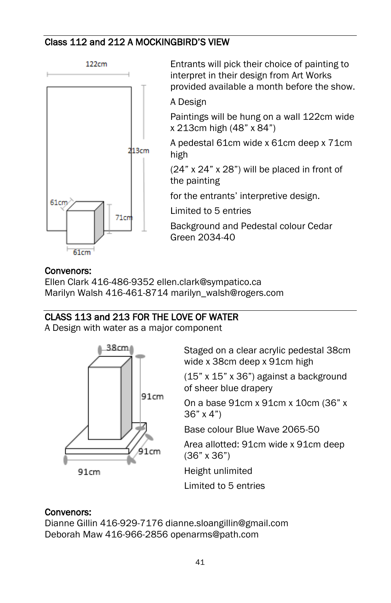#### Class 112 and 212 A MOCKINGBIRD'S VIEW



Entrants will pick their choice of painting to interpret in their design from Art Works provided available a month before the show. A Design

Paintings will be hung on a wall 122cm wide x 213cm high (48" x 84")

A pedestal 61cm wide x 61cm deep x 71cm high

(24" x 24" x 28") will be placed in front of the painting

for the entrants' interpretive design.

Limited to 5 entries

Background and Pedestal colour Cedar Green 2034-40

### Convenors:

Ellen Clark 416-486-9352 ellen.clark@sympatico.ca Marilyn Walsh 416-461-8714 marilyn\_walsh@rogers.com

### CLASS 113 and 213 FOR THE LOVE OF WATER

A Design with water as a major component



Staged on a clear acrylic pedestal 38cm wide x 38cm deep x 91cm high

(15" x 15" x 36") against a background of sheer blue drapery

On a base 91cm x 91cm x 10cm (36" x 36" x 4")

Base colour Blue Wave 2065-50

Area allotted: 91cm wide x 91cm deep (36" x 36")

Height unlimited

Limited to 5 entries

# Convenors:

Dianne Gillin 416-929-7176 dianne.sloangillin@gmail.com Deborah Maw 416-966-2856 openarms@path.com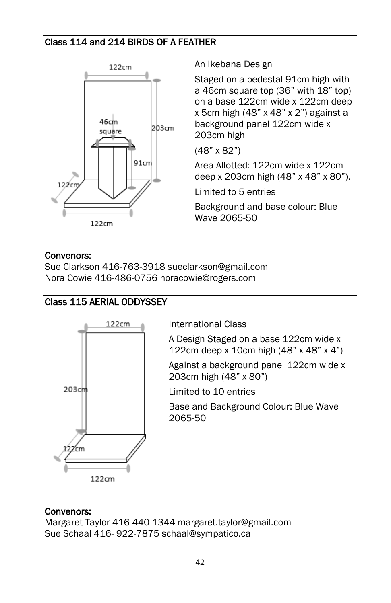### Class 114 and 214 BIRDS OF A FEATHER



An Ikebana Design

Staged on a pedestal 91cm high with a 46cm square top (36" with 18" top) on a base 122cm wide x 122cm deep x 5cm high (48" x 48" x 2") against a background panel 122cm wide x 203cm high

(48" x 82")

Area Allotted: 122cm wide x 122cm deep x 203cm high (48" x 48" x 80").

Limited to 5 entries

Background and base colour: Blue Wave 2065-50

#### Convenors:

Sue Clarkson 416-763-3918 sueclarkson@gmail.com Nora Cowie 416-486-0756 noracowie@rogers.com

# Class 115 AERIAL ODDYSSEY



International Class

A Design Staged on a base 122cm wide x 122cm deep x 10cm high (48" x 48" x 4")

Against a background panel 122cm wide x 203cm high (48" x 80")

Limited to 10 entries

Base and Background Colour: Blue Wave 2065-50

#### Convenors:

Margaret Taylor 416-440-1344 margaret.taylor@gmail.com Sue Schaal 416- 922-7875 schaal@sympatico.ca